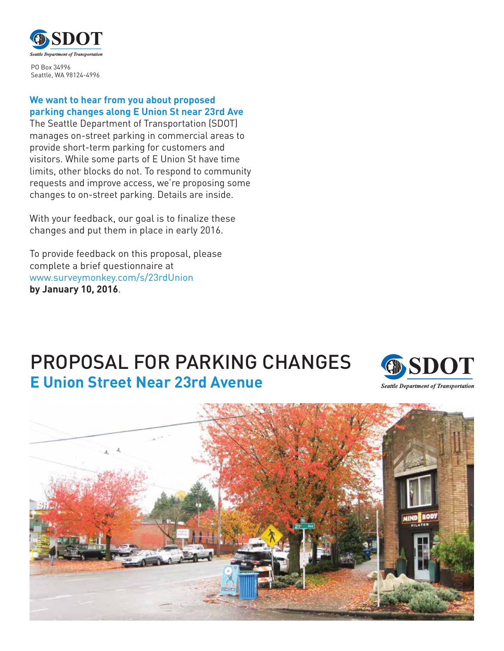

PO Box 34996 Seattle, WA 98124-4996

#### **We want to hear from you about proposed parking changes along E Union St near 23rd Ave**

The Seattle Department of Transportation (SDOT) manages on-street parking in commercial areas to provide short-term parking for customers and visitors. While some parts of E Union St have time limits, other blocks do not. To respond to community requests and improve access, we're proposing some changes to on-street parking. Details are inside.

With your feedback, our goal is to finalize these changes and put them in place in early 2016.

To provide feedback on this proposal, please complete a brief questionnaire at www.surveymonkey.com/s/23rdUnion **by January 10, 2016**.

# PROPOSAL FOR PARKING CHANGES **E Union Street Near 23rd Avenue**